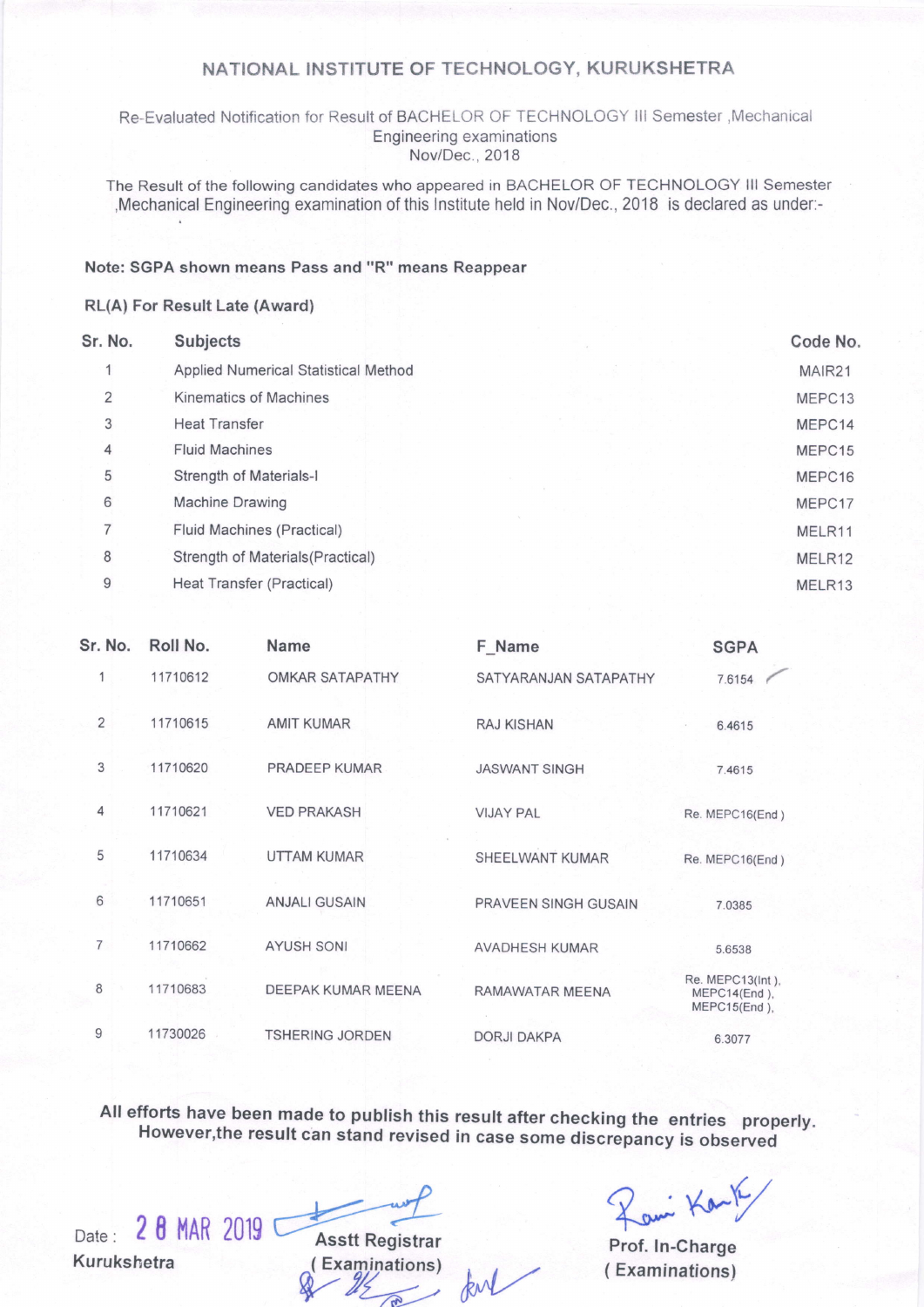### NATIONAL INSTITUTE OF TECHNOLOGY, KURUKSHETRA

Re-Evaluated Notification for Result of BACHELOR OF TECHNOLOGY III Semester , Mechanical Engineering examinations Nov/Dec., 2018

The Result of the following candidates who appeared in BACHELOR OF TECHNOLOGY lll Semester ,Mechanical Engineering examination of this lnstitute held in Nov/Dec.,2018 is declared as under:-

### Note: SGPA shown means Pass and "R" means Reappear

### RL(A) For Result Late (Award)

| Sr. No. | <b>Subjects</b>                      | Code No. |
|---------|--------------------------------------|----------|
|         | Applied Numerical Statistical Method | MAIR21   |
| 2       | <b>Kinematics of Machines</b>        | MEPC13   |
| 3       | <b>Heat Transfer</b>                 | MEPC14   |
| 4       | <b>Fluid Machines</b>                | MEPC15   |
| 5       | Strength of Materials-I              | MEPC16   |
| 6       | Machine Drawing                      | MEPC17   |
| 7       | Fluid Machines (Practical)           | MELR11   |
| 8       | Strength of Materials (Practical)    | MELR12   |
| 9       | Heat Transfer (Practical)            | MELR13   |
|         |                                      |          |

| Sr. No.        | Roll No. | <b>Name</b>            | F_Name                | <b>SGPA</b>                                      |
|----------------|----------|------------------------|-----------------------|--------------------------------------------------|
| 1              | 11710612 | OMKAR SATAPATHY        | SATYARANJAN SATAPATHY | 7.6154                                           |
| $\overline{2}$ | 11710615 | <b>AMIT KUMAR</b>      | <b>RAJ KISHAN</b>     | 6.4615                                           |
| 3              | 11710620 | PRADEEP KUMAR          | <b>JASWANT SINGH</b>  | 7.4615                                           |
| $\overline{4}$ | 11710621 | <b>VED PRAKASH</b>     | <b>VIJAY PAL</b>      | Re. MEPC16(End)                                  |
| 5              | 11710634 | <b>UTTAM KUMAR</b>     | SHEELWANT KUMAR       | Re. MEPC16(End)                                  |
| 6              | 11710651 | <b>ANJALI GUSAIN</b>   | PRAVEEN SINGH GUSAIN  | 7.0385                                           |
| $\overline{7}$ | 11710662 | <b>AYUSH SONI</b>      | <b>AVADHESH KUMAR</b> | 5.6538                                           |
| 8              | 11710683 | DEEPAK KUMAR MEENA     | RAMAWATAR MEENA       | Re. MEPC13(Int),<br>MEPC14(End),<br>MEPC15(End), |
| 9              | 11730026 | <b>TSHERING JORDEN</b> | <b>DORJI DAKPA</b>    | 6.3077                                           |
|                |          |                        |                       |                                                  |

All efforts have been made to publish this result after checking the entries properly. However,the result can stand revised in case some discrepancy is observed

Kurukshetra (Examinations) (Examinations) (Examinations)

Date: 28 MAR 2019 Asstt Registrar Prof. In-Charge

Prof. ln-Charge